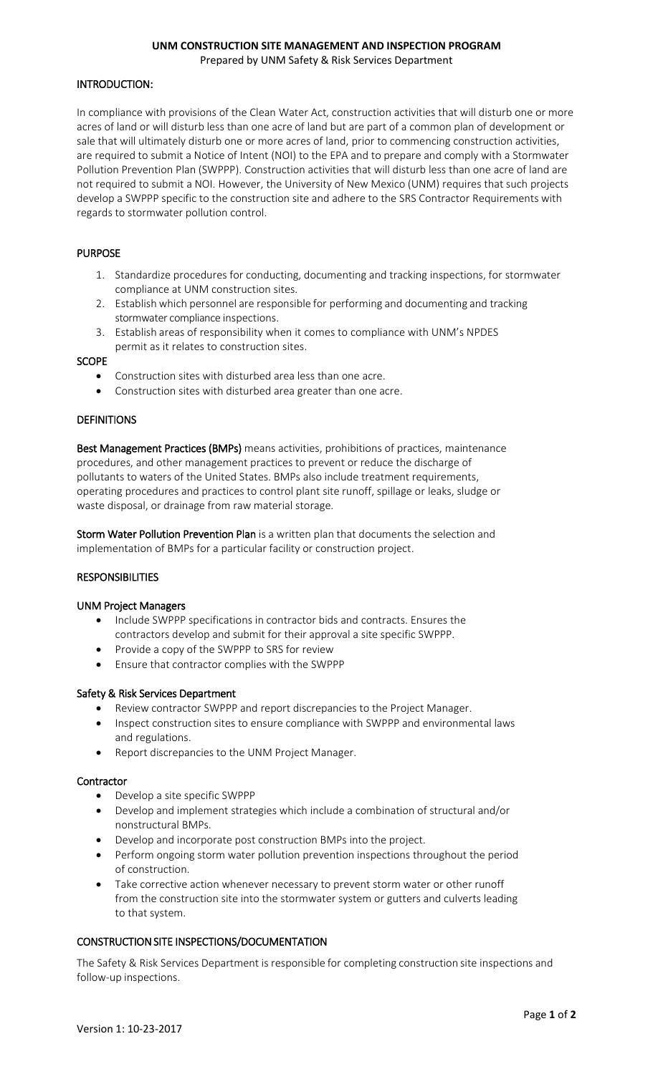# **UNM CONSTRUCTION SITE MANAGEMENT AND INSPECTION PROGRAM**

Prepared by UNM Safety & Risk Services Department

# INTRODUCTION:

In compliance with provisions of the Clean Water Act, construction activities that will disturb one or more acres of land or will disturb less than one acre of land but are part of a common plan of development or sale that will ultimately disturb one or more acres of land, prior to commencing construction activities, are required to submit a Notice of Intent (NOI) to the EPA and to prepare and comply with a Stormwater Pollution Prevention Plan (SWPPP). Construction activities that will disturb less than one acre of land are not required to submit a NOI. However, the University of New Mexico (UNM) requires that such projects develop a SWPPP specific to the construction site and adhere to the SRS Contractor Requirements with regards to stormwater pollution control.

### PURPOSE

- 1. Standardize procedures for conducting, documenting and tracking inspections, for stormwater compliance at UNM construction sites.
- 2. Establish which personnel are responsible for performing and documenting and tracking stormwater compliance inspections.
- 3. Establish areas of responsibility when it comes to compliance with UNM's NPDES permit as it relates to construction sites.

#### **SCOPE**

- Construction sites with disturbed area less than one acre.
- Construction sites with disturbed area greater than one acre.

#### **DEFINITIONS**

Best Management Practices (BMPs) means activities, prohibitions of practices, maintenance procedures, and other management practices to prevent or reduce the discharge of pollutants to waters of the United States. BMPs also include treatment requirements, operating procedures and practices to control plant site runoff, spillage or leaks, sludge or waste disposal, or drainage from raw material storage.

Storm Water Pollution Prevention Plan is a written plan that documents the selection and implementation of BMPs for a particular facility or construction project.

#### **RESPONSIBILITIES**

#### UNM Project Managers

- Include SWPPP specifications in contractor bids and contracts. Ensures the contractors develop and submit for their approval a site specific SWPPP.
- Provide a copy of the SWPPP to SRS for review
- Ensure that contractor complies with the SWPPP

#### Safety & Risk Services Department

- Review contractor SWPPP and report discrepancies to the Project Manager.
- Inspect construction sites to ensure compliance with SWPPP and environmental laws and regulations.
- Report discrepancies to the UNM Project Manager.

#### **Contractor**

- Develop a site specific SWPPP
- Develop and implement strategies which include a combination of structural and/or nonstructural BMPs.
- Develop and incorporate post construction BMPs into the project.
- Perform ongoing storm water pollution prevention inspections throughout the period of construction.
- Take corrective action whenever necessary to prevent storm water or other runoff from the construction site into the stormwater system or gutters and culverts leading to that system.

#### CONSTRUCTION SITE INSPECTIONS/DOCUMENTATION

The Safety & Risk Services Department is responsible for completing construction site inspections and follow‐up inspections.